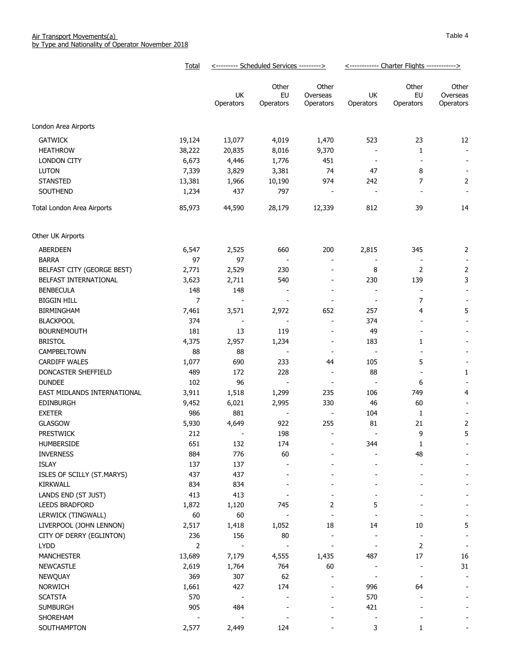|                             | Total          | <--------- Scheduled Services ---------> |                          |                              | <------------ Charter Flights ------------> |                          |                          |
|-----------------------------|----------------|------------------------------------------|--------------------------|------------------------------|---------------------------------------------|--------------------------|--------------------------|
|                             |                | UK                                       | Other<br>EU              | Other<br>Overseas            | UK                                          | Other<br>EU              | Other<br>Overseas        |
|                             |                | Operators                                | Operators                | Operators                    | Operators                                   | Operators                | Operators                |
| London Area Airports        |                |                                          |                          |                              |                                             |                          |                          |
| <b>GATWICK</b>              | 19,124         | 13,077                                   | 4,019                    | 1,470                        | 523                                         | 23                       | 12                       |
| <b>HEATHROW</b>             | 38,222         | 20,835                                   | 8,016                    | 9,370                        |                                             | $\mathbf{1}$             |                          |
| <b>LONDON CITY</b>          | 6,673          | 4,446                                    | 1,776                    | 451                          | $\overline{\phantom{a}}$                    |                          | $\overline{\phantom{a}}$ |
| <b>LUTON</b>                | 7,339          | 3,829                                    | 3,381                    | 74                           | 47                                          | 8                        | $\overline{\phantom{a}}$ |
| <b>STANSTED</b>             | 13,381         | 1,966                                    | 10,190                   | 974                          | 242                                         | 7                        | $\overline{2}$           |
| SOUTHEND                    | 1,234          | 437                                      | 797                      | $\overline{\phantom{a}}$     | $\overline{\phantom{a}}$                    |                          |                          |
|                             |                |                                          |                          |                              |                                             |                          |                          |
| Total London Area Airports  | 85,973         | 44,590                                   | 28,179                   | 12,339                       | 812                                         | 39                       | 14                       |
| Other UK Airports           |                |                                          |                          |                              |                                             |                          |                          |
| <b>ABERDEEN</b>             | 6,547          | 2,525                                    | 660                      | 200                          | 2,815                                       | 345                      | $\overline{2}$           |
| <b>BARRA</b>                | 97             | 97                                       |                          | $\overline{\phantom{a}}$     |                                             |                          | $\overline{\phantom{a}}$ |
| BELFAST CITY (GEORGE BEST)  | 2,771          | 2,529                                    | 230                      | $\overline{\phantom{a}}$     | 8                                           | $\overline{2}$           | 2                        |
| BELFAST INTERNATIONAL       | 3,623          | 2,711                                    | 540                      | $\overline{\phantom{a}}$     | 230                                         | 139                      | 3                        |
| <b>BENBECULA</b>            | 148            | 148                                      |                          | $\overline{\phantom{a}}$     | $\overline{\phantom{a}}$                    |                          | $\blacksquare$           |
| <b>BIGGIN HILL</b>          | $\overline{7}$ |                                          |                          | $\overline{\phantom{a}}$     | $\overline{\phantom{a}}$                    | 7                        |                          |
| <b>BIRMINGHAM</b>           | 7,461          | 3,571                                    | 2,972                    | 652                          | 257                                         | 4                        | 5                        |
| <b>BLACKPOOL</b>            | 374            |                                          | $\overline{\phantom{a}}$ | $\overline{\phantom{a}}$     | 374                                         |                          |                          |
| <b>BOURNEMOUTH</b>          | 181            | 13                                       | 119                      | $\overline{\phantom{a}}$     | 49                                          |                          |                          |
| <b>BRISTOL</b>              | 4,375          | 2,957                                    | 1,234                    | $\overline{\phantom{a}}$     | 183                                         | 1                        |                          |
| CAMPBELTOWN                 | 88             | 88                                       |                          | $\sim$                       | $\overline{\phantom{a}}$                    |                          |                          |
| <b>CARDIFF WALES</b>        | 1,077          | 690                                      | 233                      | 44                           | 105                                         | 5                        |                          |
| DONCASTER SHEFFIELD         | 489            | 172                                      | 228                      | $\overline{\phantom{a}}$     | 88                                          | $\overline{\phantom{a}}$ | 1                        |
| <b>DUNDEE</b>               | 102            | 96                                       | $\overline{\phantom{a}}$ | $\overline{\phantom{a}}$     | $\overline{\phantom{a}}$                    | 6                        |                          |
| EAST MIDLANDS INTERNATIONAL | 3,911          | 1,518                                    | 1,299                    | 235                          | 106                                         | 749                      | 4                        |
| EDINBURGH                   | 9,452          | 6,021                                    | 2,995                    | 330                          | 46                                          | 60                       |                          |
| <b>EXETER</b>               | 986            | 881                                      | $\overline{\phantom{a}}$ | $\blacksquare$               | 104                                         | 1                        | $\overline{\phantom{a}}$ |
| <b>GLASGOW</b>              | 5,930          | 4,649                                    | 922                      | 255                          | 81                                          | 21                       | 2                        |
| <b>PRESTWICK</b>            | 212            |                                          | 198                      | $\overline{\phantom{a}}$     | $\overline{\phantom{a}}$                    | 9                        | 5                        |
| HUMBERSIDE                  | 651            | 132                                      | 174                      | $\qquad \qquad \blacksquare$ | 344                                         | $\mathbf{1}$             |                          |
| <b>INVERNESS</b>            | 884            | 776                                      | 60                       |                              |                                             | 48                       |                          |
| <b>ISLAY</b>                | 137            | 137                                      |                          |                              |                                             |                          |                          |
| ISLES OF SCILLY (ST.MARYS)  | 437            | 437                                      |                          |                              |                                             |                          |                          |
| KIRKWALL                    | 834            | 834                                      |                          | $\blacksquare$               |                                             |                          |                          |
| LANDS END (ST JUST)         | 413            | 413                                      |                          | $\overline{\phantom{a}}$     |                                             |                          |                          |
| <b>LEEDS BRADFORD</b>       | 1,872          | 1,120                                    | 745                      | 2                            | 5                                           |                          |                          |
| LERWICK (TINGWALL)          | 60             | 60                                       | $\overline{\phantom{a}}$ | $\overline{\phantom{a}}$     |                                             |                          |                          |
| LIVERPOOL (JOHN LENNON)     | 2,517          | 1,418                                    | 1,052                    | 18                           | 14                                          | 10                       | 5                        |
| CITY OF DERRY (EGLINTON)    | 236            | 156                                      | 80                       | $\overline{\phantom{a}}$     |                                             | $\overline{\phantom{a}}$ |                          |
| <b>LYDD</b>                 | $\overline{2}$ |                                          | $\overline{\phantom{a}}$ | $\overline{a}$               |                                             | 2                        | $\overline{\phantom{a}}$ |
| <b>MANCHESTER</b>           | 13,689         | 7,179                                    | 4,555                    | 1,435                        | 487                                         | 17                       | 16                       |
|                             |                |                                          |                          | 60                           |                                             | $\overline{\phantom{a}}$ | 31                       |
| <b>NEWCASTLE</b>            | 2,619<br>369   | 1,764<br>307                             | 764<br>62                |                              |                                             | $\overline{\phantom{a}}$ |                          |
| <b>NEWQUAY</b>              |                |                                          |                          |                              |                                             |                          |                          |
| <b>NORWICH</b>              | 1,661          | 427                                      | 174                      |                              | 996                                         | 64                       |                          |
| <b>SCATSTA</b>              | 570            |                                          |                          |                              | 570                                         |                          |                          |
| <b>SUMBURGH</b>             | 905            | 484                                      |                          |                              | 421                                         |                          |                          |
| SHOREHAM                    |                |                                          |                          |                              |                                             |                          |                          |
| SOUTHAMPTON                 | 2,577          | 2,449                                    | 124                      |                              | 3                                           | 1                        |                          |